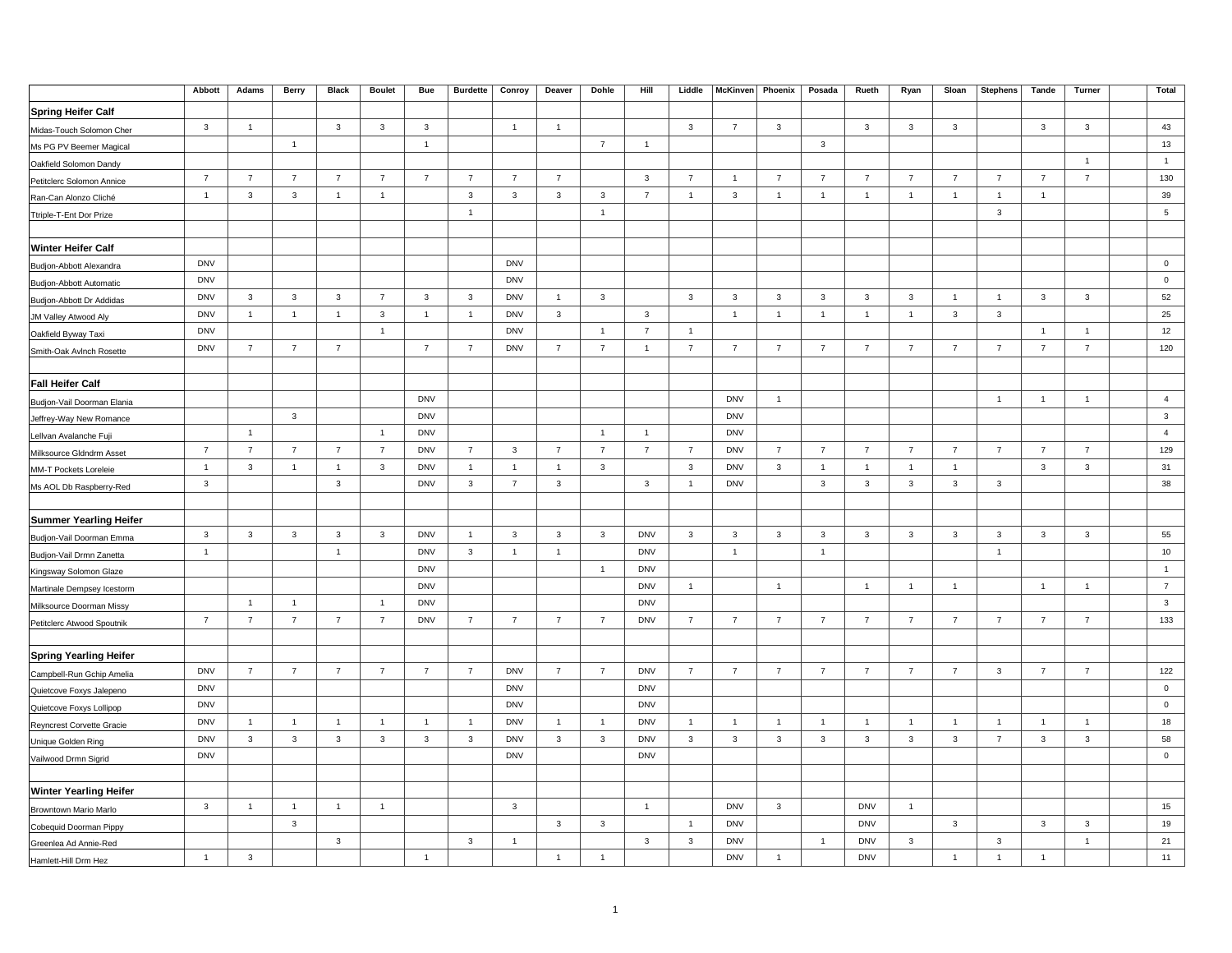|                               | Abbott                  | Adams          | Berry          | <b>Black</b>   | <b>Boulet</b>  | <b>Bue</b>     | <b>Burdette</b> | Conroy         | Deaver         | Dohle          | Hill           | Liddle         | McKinven       | Phoenix        | Posada                  | Rueth          | Ryan                    | Sloan          | <b>Stephens</b> | Tande          | Turner         | <b>Total</b>   |
|-------------------------------|-------------------------|----------------|----------------|----------------|----------------|----------------|-----------------|----------------|----------------|----------------|----------------|----------------|----------------|----------------|-------------------------|----------------|-------------------------|----------------|-----------------|----------------|----------------|----------------|
| <b>Spring Heifer Calf</b>     |                         |                |                |                |                |                |                 |                |                |                |                |                |                |                |                         |                |                         |                |                 |                |                |                |
| Midas-Touch Solomon Cher      | $\mathbf{3}$            | $\overline{1}$ |                | $\mathbf{3}$   | 3              | $\overline{3}$ |                 | $\overline{1}$ | $\overline{1}$ |                |                | $\overline{3}$ | $\overline{7}$ | $\mathbf{3}$   |                         | $\mathbf{3}$   | $\mathbf{3}$            | $\mathbf{3}$   |                 | $\mathbf{3}$   | $\mathbf{3}$   | 43             |
| Ms PG PV Beemer Magical       |                         |                | $\mathbf{1}$   |                |                | $\overline{1}$ |                 |                |                | $\overline{7}$ | $\overline{1}$ |                |                |                | $\mathbf{3}$            |                |                         |                |                 |                |                | 13             |
| Oakfield Solomon Dandy        |                         |                |                |                |                |                |                 |                |                |                |                |                |                |                |                         |                |                         |                |                 |                | $\overline{1}$ | $\overline{1}$ |
| Petitclerc Solomon Annice     | $\overline{7}$          | $\overline{7}$ | $\overline{7}$ | $\overline{7}$ | $\overline{7}$ | $\overline{7}$ | $\overline{7}$  | $\overline{7}$ | $\overline{7}$ |                | $\mathbf{3}$   | $\overline{7}$ | $\overline{1}$ | $\overline{7}$ | $\overline{7}$          | $\overline{7}$ | $\overline{7}$          | $\overline{7}$ | $\overline{7}$  | $\overline{7}$ | $\overline{7}$ | 130            |
| Ran-Can Alonzo Cliché         | $\overline{1}$          | $\mathbf{3}$   | $\mathbf{3}$   | $\overline{1}$ | $\mathbf{1}$   |                | $\mathbf{3}$    | $\mathbf{3}$   | $\mathbf{3}$   | $\mathbf{3}$   | $\overline{7}$ | $\overline{1}$ | $\mathbf{3}$   | $\overline{1}$ | $\mathbf{1}$            | $\mathbf{1}$   | $\mathbf{1}$            | $\mathbf{1}$   | $\overline{1}$  | $\overline{1}$ |                | 39             |
| Ttriple-T-Ent Dor Prize       |                         |                |                |                |                |                | $\mathbf{1}$    |                |                | $\mathbf{1}$   |                |                |                |                |                         |                |                         |                | $\mathbf{3}$    |                |                | 5              |
|                               |                         |                |                |                |                |                |                 |                |                |                |                |                |                |                |                         |                |                         |                |                 |                |                |                |
| <b>Winter Heifer Calf</b>     |                         |                |                |                |                |                |                 |                |                |                |                |                |                |                |                         |                |                         |                |                 |                |                |                |
| Budjon-Abbott Alexandra       | <b>DNV</b>              |                |                |                |                |                |                 | <b>DNV</b>     |                |                |                |                |                |                |                         |                |                         |                |                 |                |                | $\mathbf 0$    |
| Budjon-Abbott Automatic       | <b>DNV</b>              |                |                |                |                |                |                 | <b>DNV</b>     |                |                |                |                |                |                |                         |                |                         |                |                 |                |                | $\mathbf 0$    |
| Budjon-Abbott Dr Addidas      | <b>DNV</b>              | 3              | 3              | 3              | $\overline{7}$ | $\mathbf{3}$   | $\mathbf{3}$    | <b>DNV</b>     | $\overline{1}$ | 3              |                | $\overline{3}$ | 3              | 3              | $\mathbf{3}$            | 3              | $\mathbf{3}$            | $\mathbf{1}$   | $\overline{1}$  | $\mathbf{3}$   | 3              | 52             |
| JM Valley Atwood Aly          | <b>DNV</b>              | $\overline{1}$ | $\overline{1}$ | $\overline{1}$ | $\mathbf{3}$   | $\overline{1}$ | $\overline{1}$  | <b>DNV</b>     | $\mathbf{3}$   |                | $\mathbf{3}$   |                | $\overline{1}$ | $\overline{1}$ | $\overline{1}$          | $\overline{1}$ | $\overline{1}$          | $\mathbf{3}$   | $\mathbf{3}$    |                |                | 25             |
| Oakfield Byway Taxi           | <b>DNV</b>              |                |                |                | $\mathbf{1}$   |                |                 | <b>DNV</b>     |                | $\mathbf{1}$   | $\overline{7}$ | $\overline{1}$ |                |                |                         |                |                         |                |                 | $\overline{1}$ | $\overline{1}$ | 12             |
| Smith-Oak Avlnch Rosette      | <b>DNV</b>              | $\overline{7}$ | $\overline{7}$ | $\overline{7}$ |                | $\overline{7}$ | $\overline{7}$  | <b>DNV</b>     | $\overline{7}$ | $\overline{7}$ | $\overline{1}$ | $\overline{7}$ | $\overline{7}$ | $\overline{7}$ | $\overline{7}$          | $\overline{7}$ | $\overline{7}$          | $\overline{7}$ | $\overline{7}$  | $\overline{7}$ | $\overline{7}$ | 120            |
|                               |                         |                |                |                |                |                |                 |                |                |                |                |                |                |                |                         |                |                         |                |                 |                |                |                |
| <b>Fall Heifer Calf</b>       |                         |                |                |                |                |                |                 |                |                |                |                |                |                |                |                         |                |                         |                |                 |                |                |                |
| Budjon-Vail Doorman Elania    |                         |                |                |                |                | <b>DNV</b>     |                 |                |                |                |                |                | <b>DNV</b>     | $\mathbf{1}$   |                         |                |                         |                | $\overline{1}$  | $\overline{1}$ | $\overline{1}$ | $\overline{4}$ |
| Jeffrey-Way New Romance       |                         |                | $\mathbf{3}$   |                |                | <b>DNV</b>     |                 |                |                |                |                |                | <b>DNV</b>     |                |                         |                |                         |                |                 |                |                | $\mathbf{3}$   |
| Lellvan Avalanche Fuji        |                         | $\overline{1}$ |                |                | $\overline{1}$ | <b>DNV</b>     |                 |                |                | $\overline{1}$ | $\overline{1}$ |                | <b>DNV</b>     |                |                         |                |                         |                |                 |                |                | $\overline{4}$ |
| Milksource Gldndrm Asset      | $\overline{7}$          | $\overline{7}$ | $\overline{7}$ | $\overline{7}$ | $\overline{7}$ | <b>DNV</b>     | $\overline{7}$  | 3              | $\overline{7}$ | $\overline{7}$ | $\overline{7}$ | $\overline{7}$ | <b>DNV</b>     | $\overline{7}$ | $\overline{7}$          | $\overline{7}$ | $\overline{7}$          | $\overline{7}$ | $\overline{7}$  | $\overline{7}$ | $\overline{7}$ | 129            |
| MM-T Pockets Loreleie         | $\overline{1}$          | $\mathbf{3}$   | $\overline{1}$ | $\overline{1}$ | $\mathbf{3}$   | <b>DNV</b>     | $\overline{1}$  | $\overline{1}$ | $\overline{1}$ | $\mathbf{3}$   |                | $\mathbf{3}$   | <b>DNV</b>     | $\mathbf{3}$   | $\overline{1}$          | $\mathbf{1}$   | $\overline{1}$          | $\overline{1}$ |                 | $\mathbf{3}$   | $\mathbf{3}$   | 31             |
| Ms AOL Db Raspberry-Red       | $\mathbf{3}$            |                |                | $\mathbf{3}$   |                | <b>DNV</b>     | 3               | $\overline{7}$ | $\overline{3}$ |                | $\mathbf{3}$   | $\overline{1}$ | <b>DNV</b>     |                | $\mathbf{3}$            | 3              | $\mathbf{3}$            | $\mathbf{3}$   | $\mathbf{3}$    |                |                | 38             |
|                               |                         |                |                |                |                |                |                 |                |                |                |                |                |                |                |                         |                |                         |                |                 |                |                |                |
| <b>Summer Yearling Heifer</b> |                         |                |                |                |                |                |                 |                |                |                |                |                |                |                |                         |                |                         |                |                 |                |                |                |
| Budjon-Vail Doorman Emma      | $\overline{\mathbf{3}}$ | $\mathbf{3}$   | $\mathbf{3}$   | $\mathbf{3}$   | $\mathbf{3}$   | <b>DNV</b>     | $\mathbf{1}$    | $\mathbf{3}$   | $\mathbf{3}$   | $\mathbf{3}$   | <b>DNV</b>     | $\mathbf{3}$   | $\mathbf{3}$   | $\mathbf{3}$   | $\overline{\mathbf{3}}$ | $\mathbf{3}$   | $\overline{\mathbf{3}}$ | $\mathbf{3}$   | $\mathbf{3}$    | $\mathbf{3}$   | $\mathbf{3}$   | 55             |
| Budjon-Vail Drmn Zanetta      | $\overline{1}$          |                |                | $\overline{1}$ |                | <b>DNV</b>     | $\mathbf{3}$    | $\mathbf{1}$   | $\overline{1}$ |                | <b>DNV</b>     |                | $\overline{1}$ |                | $\mathbf{1}$            |                |                         |                | $\overline{1}$  |                |                | 10             |
| Kingsway Solomon Glaze        |                         |                |                |                |                | <b>DNV</b>     |                 |                |                | $\mathbf{1}$   | <b>DNV</b>     |                |                |                |                         |                |                         |                |                 |                |                | $\overline{1}$ |
| Martinale Dempsey Icestorm    |                         |                |                |                |                | <b>DNV</b>     |                 |                |                |                | <b>DNV</b>     | $\overline{1}$ |                | $\overline{1}$ |                         | $\overline{1}$ | $\overline{1}$          | $\overline{1}$ |                 | $\overline{1}$ | $\overline{1}$ | $\overline{7}$ |
| Milksource Doorman Missy      |                         | $\overline{1}$ | $\overline{1}$ |                | $\overline{1}$ | <b>DNV</b>     |                 |                |                |                | <b>DNV</b>     |                |                |                |                         |                |                         |                |                 |                |                | $\mathbf{3}$   |
| Petitclerc Atwood Spoutnik    | $\overline{7}$          | $\overline{7}$ | $\overline{7}$ | $\overline{7}$ | $\overline{7}$ | <b>DNV</b>     | $\overline{7}$  | $\overline{7}$ | $\overline{7}$ | $\overline{7}$ | <b>DNV</b>     | $\overline{7}$ | $\overline{7}$ | $\overline{7}$ | $\overline{7}$          | $\overline{7}$ | $\overline{7}$          | $\overline{7}$ | $\overline{7}$  | $\overline{7}$ | $\overline{7}$ | 133            |
|                               |                         |                |                |                |                |                |                 |                |                |                |                |                |                |                |                         |                |                         |                |                 |                |                |                |
| <b>Spring Yearling Heifer</b> |                         |                |                |                |                |                |                 |                |                |                |                |                |                |                |                         |                |                         |                |                 |                |                |                |
| Campbell-Run Gchip Amelia     | <b>DNV</b>              | $\overline{7}$ | $\overline{7}$ | $\overline{7}$ | $\overline{7}$ | $\overline{7}$ | $\overline{7}$  | <b>DNV</b>     | $\overline{7}$ | $\overline{7}$ | <b>DNV</b>     | $\overline{7}$ | $\overline{7}$ | $\overline{7}$ | $\overline{7}$          | $\overline{7}$ | $\overline{7}$          | $\overline{7}$ | $\mathbf{3}$    | $\overline{7}$ | $\overline{7}$ | 122            |
| Quietcove Foxys Jalepeno      | <b>DNV</b>              |                |                |                |                |                |                 | <b>DNV</b>     |                |                | <b>DNV</b>     |                |                |                |                         |                |                         |                |                 |                |                | $\pmb{0}$      |
| Quietcove Foxys Lollipop      | <b>DNV</b>              |                |                |                |                |                |                 | <b>DNV</b>     |                |                | <b>DNV</b>     |                |                |                |                         |                |                         |                |                 |                |                | $\mathbf 0$    |
| Reyncrest Corvette Gracie     | <b>DNV</b>              | $\overline{1}$ | $\mathbf{1}$   | $\mathbf{1}$   | $\overline{1}$ | $\overline{1}$ | $\overline{1}$  | <b>DNV</b>     | $\overline{1}$ | $\overline{1}$ | <b>DNV</b>     | $\overline{1}$ | $\overline{1}$ | $\overline{1}$ | $\overline{1}$          | $\overline{1}$ | $\overline{1}$          | $\overline{1}$ | $\overline{1}$  | $\overline{1}$ | $\overline{1}$ | 18             |
| Unique Golden Ring            | <b>DNV</b>              | $\mathbf{3}$   | $\mathbf{3}$   | $\mathbf{3}$   | 3              | $\mathbf{3}$   | $\mathbf{3}$    | <b>DNV</b>     | $\mathbf{3}$   | $\mathbf{3}$   | <b>DNV</b>     | $\mathbf{3}$   | 3              | $\mathbf{3}$   | $\mathbf{3}$            | 3              | $\mathbf{3}$            | $\mathbf{3}$   | $\overline{7}$  | $\mathbf{3}$   | $\mathbf{3}$   | 58             |
| Vailwood Drmn Sigrid          | <b>DNV</b>              |                |                |                |                |                |                 | <b>DNV</b>     |                |                | <b>DNV</b>     |                |                |                |                         |                |                         |                |                 |                |                | $\pmb{0}$      |
|                               |                         |                |                |                |                |                |                 |                |                |                |                |                |                |                |                         |                |                         |                |                 |                |                |                |
| <b>Winter Yearling Heifer</b> |                         |                |                |                |                |                |                 |                |                |                |                |                |                |                |                         |                |                         |                |                 |                |                |                |
| Browntown Mario Marlo         | $\mathbf{3}$            | $\overline{1}$ | $\overline{1}$ | $\overline{1}$ | $\overline{1}$ |                |                 | $\mathbf{3}$   |                |                | $\overline{1}$ |                | <b>DNV</b>     | $\mathbf{3}$   |                         | <b>DNV</b>     | $\overline{1}$          |                |                 |                |                | 15             |
| Cobequid Doorman Pippy        |                         |                | $\mathbf{3}$   |                |                |                |                 |                | $\overline{3}$ | $\mathbf{3}$   |                | $\overline{1}$ | <b>DNV</b>     |                |                         | <b>DNV</b>     |                         | $\mathbf{3}$   |                 | $\mathbf{3}$   | $\mathbf{3}$   | 19             |
| Greenlea Ad Annie-Red         |                         |                |                | $\mathbf{3}$   |                |                | $\mathbf{3}$    | $\mathbf{1}$   |                |                | $\mathbf{3}$   | $\mathbf{3}$   | <b>DNV</b>     |                | $\mathbf{1}$            | <b>DNV</b>     | $\mathbf{3}$            |                | $\mathbf{3}$    |                | $\mathbf{1}$   | 21             |
| Hamlett-Hill Drm Hez          | $\overline{1}$          | $\mathbf{3}$   |                |                |                | $\overline{1}$ |                 |                | $\overline{1}$ | $\overline{1}$ |                |                | <b>DNV</b>     | $\overline{1}$ |                         | <b>DNV</b>     |                         | $\mathbf{1}$   | $\overline{1}$  | $\overline{1}$ |                | 11             |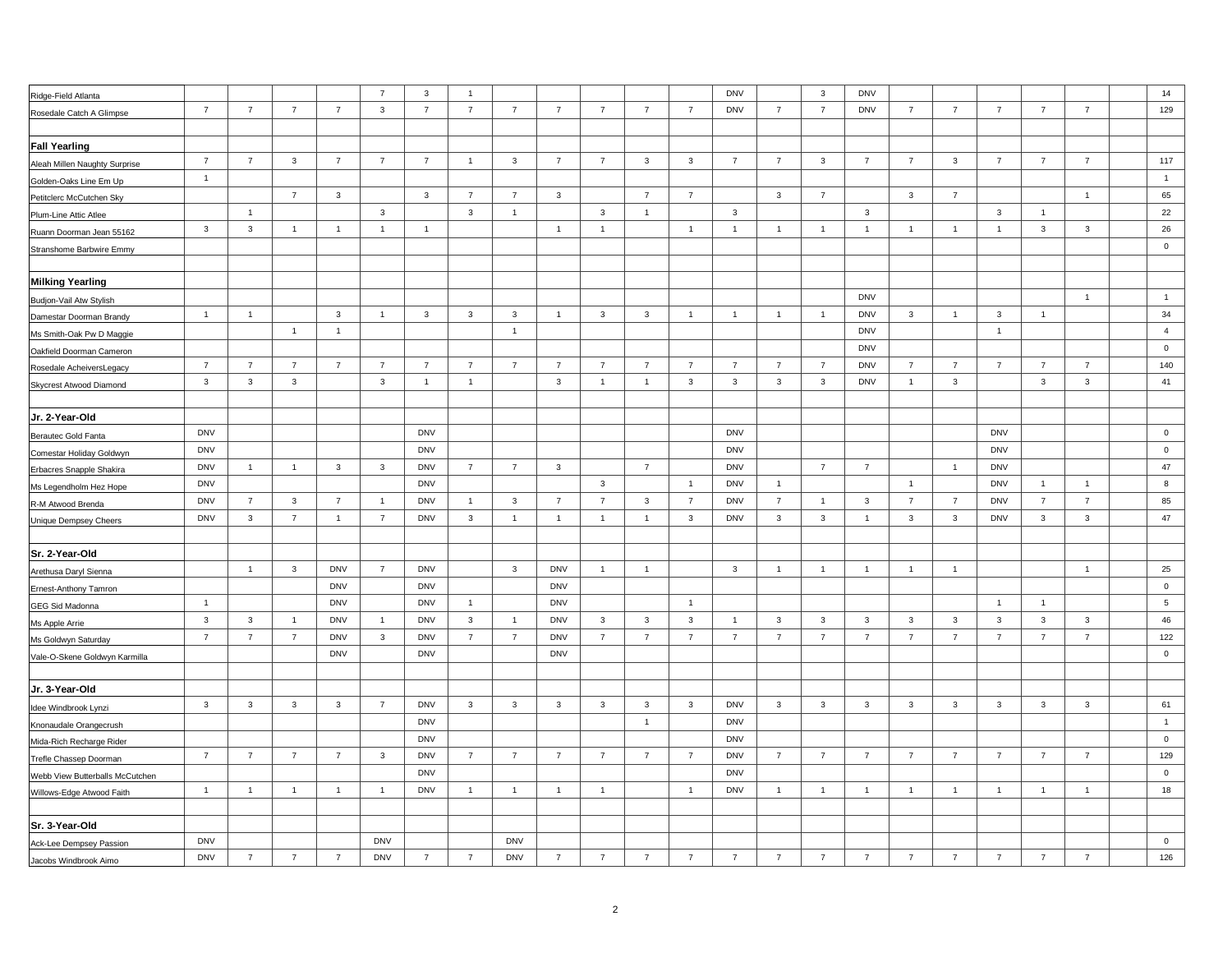| Ridge-Field Atlanta             |                         |                |                |                | $\overline{7}$ | 3              | $\overline{1}$ |                |                |                |                |                | <b>DNV</b>     |                | $\mathbf{3}$            | <b>DNV</b>     |                         |                |                |                |                | 14              |
|---------------------------------|-------------------------|----------------|----------------|----------------|----------------|----------------|----------------|----------------|----------------|----------------|----------------|----------------|----------------|----------------|-------------------------|----------------|-------------------------|----------------|----------------|----------------|----------------|-----------------|
| Rosedale Catch A Glimpse        | $\overline{7}$          | $\overline{7}$ | $\overline{7}$ | $\overline{7}$ | $\mathbf{3}$   | $\overline{7}$ | $\overline{7}$ | $\overline{7}$ | $\overline{7}$ | $\overline{7}$ | $\overline{7}$ | $\overline{7}$ | <b>DNV</b>     | $\overline{7}$ | $\overline{7}$          | <b>DNV</b>     | $\overline{7}$          | $\overline{7}$ | $\overline{7}$ | $\overline{7}$ | $\overline{7}$ | 129             |
|                                 |                         |                |                |                |                |                |                |                |                |                |                |                |                |                |                         |                |                         |                |                |                |                |                 |
| <b>Fall Yearling</b>            |                         |                |                |                |                |                |                |                |                |                |                |                |                |                |                         |                |                         |                |                |                |                |                 |
| Aleah Millen Naughty Surprise   | $\overline{7}$          | $\overline{7}$ | $\mathbf{3}$   | $\overline{7}$ | $\overline{7}$ | $\overline{7}$ | $\overline{1}$ | $\mathbf{3}$   | $\overline{7}$ | $\overline{7}$ | $\mathbf{3}$   | $\mathbf{3}$   | $\overline{7}$ | $\overline{7}$ | $\mathbf{3}$            | $\overline{7}$ | $\overline{7}$          | $\mathbf{3}$   | $\overline{7}$ | $\overline{7}$ | $\overline{7}$ | 117             |
| Golden-Oaks Line Em Up          | $\overline{1}$          |                |                |                |                |                |                |                |                |                |                |                |                |                |                         |                |                         |                |                |                |                | $\overline{1}$  |
| Petitclerc McCutchen Sky        |                         |                | $\overline{7}$ | $\mathbf{3}$   |                | $\mathbf{3}$   | $\overline{7}$ | $\overline{7}$ | $\mathbf{3}$   |                | $\overline{7}$ | $\overline{7}$ |                | $\mathbf{3}$   | $\overline{7}$          |                | $\mathbf{3}$            | $\overline{7}$ |                |                | $\overline{1}$ | 65              |
| Plum-Line Attic Atlee           |                         | $\overline{1}$ |                |                | 3              |                | $\mathbf{3}$   | $\overline{1}$ |                | $\mathbf{3}$   | $\overline{1}$ |                | 3              |                |                         | 3              |                         |                | 3              | $\overline{1}$ |                | 22              |
| Ruann Doorman Jean 55162        | $\overline{\mathbf{3}}$ | $\mathbf{3}$   | $\overline{1}$ | $\overline{1}$ | $\overline{1}$ | $\overline{1}$ |                |                | $\overline{1}$ | $\mathbf{1}$   |                | $\overline{1}$ | $\overline{1}$ | $\overline{1}$ | $\overline{1}$          | $\overline{1}$ | $\overline{1}$          | $\mathbf{1}$   | $\overline{1}$ | $\mathbf{3}$   | 3              | 26              |
| Stranshome Barbwire Emmy        |                         |                |                |                |                |                |                |                |                |                |                |                |                |                |                         |                |                         |                |                |                |                | $\mathbf 0$     |
|                                 |                         |                |                |                |                |                |                |                |                |                |                |                |                |                |                         |                |                         |                |                |                |                |                 |
| <b>Milking Yearling</b>         |                         |                |                |                |                |                |                |                |                |                |                |                |                |                |                         |                |                         |                |                |                |                |                 |
| Budjon-Vail Atw Stylish         |                         |                |                |                |                |                |                |                |                |                |                |                |                |                |                         | <b>DNV</b>     |                         |                |                |                | $\mathbf{1}$   | $\overline{1}$  |
| Damestar Doorman Brandy         | $\overline{1}$          | $\overline{1}$ |                | $\mathbf{3}$   | $\mathbf{1}$   | $\mathbf{3}$   | $\mathbf{3}$   | 3              | $\overline{1}$ | $\mathbf{3}$   | $\mathbf{3}$   | $\overline{1}$ | $\overline{1}$ | $\overline{1}$ | $\overline{1}$          | <b>DNV</b>     | $\overline{\mathbf{3}}$ | $\overline{1}$ | $\mathbf{3}$   | $\overline{1}$ |                | 34              |
| Ms Smith-Oak Pw D Maggie        |                         |                | $\overline{1}$ | $\overline{1}$ |                |                |                | $\mathbf{1}$   |                |                |                |                |                |                |                         | <b>DNV</b>     |                         |                | $\overline{1}$ |                |                | $\overline{4}$  |
| Oakfield Doorman Cameron        |                         |                |                |                |                |                |                |                |                |                |                |                |                |                |                         | <b>DNV</b>     |                         |                |                |                |                | $\mathbf 0$     |
| Rosedale AcheiversLegacy        | $\overline{7}$          | $\overline{7}$ | $\overline{7}$ | $\overline{7}$ | $\overline{7}$ | $\overline{7}$ | $\overline{7}$ | $\overline{7}$ | $\overline{7}$ | $\overline{7}$ | $\overline{7}$ | $\overline{7}$ | $\overline{7}$ | $\overline{7}$ | $\overline{7}$          | <b>DNV</b>     | $\overline{7}$          | $\overline{7}$ | $\overline{7}$ | $\overline{7}$ | $\overline{7}$ | 140             |
| Skycrest Atwood Diamond         | $\overline{\mathbf{3}}$ | $\mathbf{3}$   | $\mathbf{3}$   |                | $\mathbf{3}$   | $\overline{1}$ | $\overline{1}$ |                | $\mathbf{3}$   | $\mathbf{1}$   | $\overline{1}$ | $\mathbf{3}$   | $\mathbf{3}$   | $\mathbf{3}$   | $\mathbf{3}$            | <b>DNV</b>     | $\overline{1}$          | $\mathbf{3}$   |                | $\mathbf{3}$   | $\mathbf{3}$   | 41              |
|                                 |                         |                |                |                |                |                |                |                |                |                |                |                |                |                |                         |                |                         |                |                |                |                |                 |
| Jr. 2-Year-Old                  |                         |                |                |                |                |                |                |                |                |                |                |                |                |                |                         |                |                         |                |                |                |                |                 |
| <b>Berautec Gold Fanta</b>      | <b>DNV</b>              |                |                |                |                | <b>DNV</b>     |                |                |                |                |                |                | <b>DNV</b>     |                |                         |                |                         |                | <b>DNV</b>     |                |                | $\overline{0}$  |
| Comestar Holiday Goldwyn        | <b>DNV</b>              |                |                |                |                | <b>DNV</b>     |                |                |                |                |                |                | <b>DNV</b>     |                |                         |                |                         |                | <b>DNV</b>     |                |                | $\mathsf 0$     |
| Erbacres Snapple Shakira        | <b>DNV</b>              | $\overline{1}$ | $\overline{1}$ | $\mathbf{3}$   | 3              | <b>DNV</b>     | $\overline{7}$ | $\overline{7}$ | $\mathbf{3}$   |                | $\overline{7}$ |                | <b>DNV</b>     |                | $\overline{7}$          | $\overline{7}$ |                         | $\overline{1}$ | <b>DNV</b>     |                |                | 47              |
| Ms Legendholm Hez Hope          | <b>DNV</b>              |                |                |                |                | <b>DNV</b>     |                |                |                | $\mathbf{3}$   |                | $\overline{1}$ | <b>DNV</b>     | $\overline{1}$ |                         |                | $\overline{1}$          |                | <b>DNV</b>     | $\overline{1}$ | $\overline{1}$ | 8               |
| R-M Atwood Brenda               | <b>DNV</b>              | $\overline{7}$ | $\mathbf{3}$   | $\overline{7}$ | $\mathbf{1}$   | <b>DNV</b>     | $\overline{1}$ | $\mathbf{3}$   | $\overline{7}$ | $\overline{7}$ | $\mathbf{3}$   | $\overline{7}$ | <b>DNV</b>     | $\overline{7}$ | $\mathbf{1}$            | $\mathbf{3}$   | $\overline{7}$          | $\overline{7}$ | <b>DNV</b>     | $\overline{7}$ | $\overline{7}$ | 85              |
| Unique Dempsey Cheers           | <b>DNV</b>              | 3              | $\overline{7}$ | $\overline{1}$ | $\overline{7}$ | <b>DNV</b>     | $\mathbf{3}$   | $\mathbf{1}$   | $\overline{1}$ | $\overline{1}$ | $\overline{1}$ | $\mathbf{3}$   | <b>DNV</b>     | $\mathbf{3}$   | $\mathbf{3}$            | $\mathbf{1}$   | $\overline{\mathbf{3}}$ | $\mathbf{3}$   | <b>DNV</b>     | 3              | $\mathbf{3}$   | 47              |
|                                 |                         |                |                |                |                |                |                |                |                |                |                |                |                |                |                         |                |                         |                |                |                |                |                 |
| Sr. 2-Year-Old                  |                         |                |                |                |                |                |                |                |                |                |                |                |                |                |                         |                |                         |                |                |                |                |                 |
| Arethusa Daryl Sienna           |                         | $\overline{1}$ | 3              | <b>DNV</b>     | $\overline{7}$ | <b>DNV</b>     |                | $\mathbf{3}$   | <b>DNV</b>     | $\mathbf{1}$   | $\overline{1}$ |                | 3              | $\mathbf{1}$   | $\mathbf{1}$            | $\mathbf{1}$   | $\mathbf{1}$            | $\mathbf{1}$   |                |                | $\mathbf{1}$   | 25              |
| Ernest-Anthony Tamron           |                         |                |                | <b>DNV</b>     |                | <b>DNV</b>     |                |                | <b>DNV</b>     |                |                |                |                |                |                         |                |                         |                |                |                |                | $\pmb{0}$       |
| GEG Sid Madonna                 | $\overline{1}$          |                |                | <b>DNV</b>     |                | <b>DNV</b>     | $\overline{1}$ |                | <b>DNV</b>     |                |                | $\overline{1}$ |                |                |                         |                |                         |                | $\overline{1}$ | $\overline{1}$ |                | $5\phantom{.0}$ |
| Ms Apple Arrie                  | $\mathbf{3}$            | $\mathbf{3}$   | $\overline{1}$ | <b>DNV</b>     | $\overline{1}$ | <b>DNV</b>     | $\mathbf{3}$   | $\overline{1}$ | <b>DNV</b>     | $\mathbf{3}$   | $\mathbf{3}$   | $\mathbf{3}$   | $\overline{1}$ | $\mathbf{3}$   | $\overline{\mathbf{3}}$ | 3              | $\mathbf{3}$            | $\mathbf{3}$   | $\mathbf{3}$   | $\mathbf{3}$   | $\mathbf{3}$   | 46              |
| Ms Goldwyn Saturday             | $\overline{7}$          | $\overline{7}$ | $\overline{7}$ | <b>DNV</b>     | $\mathbf{3}$   | <b>DNV</b>     | $\overline{7}$ | $\overline{7}$ | <b>DNV</b>     | $\overline{7}$ | $\overline{7}$ | $\overline{7}$ | $\overline{7}$ | $\overline{7}$ | $\overline{7}$          | $\overline{7}$ | $\overline{7}$          | $\overline{7}$ | $\overline{7}$ | $\overline{7}$ | $\overline{7}$ | 122             |
| Vale-O-Skene Goldwyn Karmilla   |                         |                |                | <b>DNV</b>     |                | <b>DNV</b>     |                |                | <b>DNV</b>     |                |                |                |                |                |                         |                |                         |                |                |                |                | $\pmb{0}$       |
|                                 |                         |                |                |                |                |                |                |                |                |                |                |                |                |                |                         |                |                         |                |                |                |                |                 |
| Jr. 3-Year-Old                  |                         |                |                |                |                |                |                |                |                |                |                |                |                |                |                         |                |                         |                |                |                |                |                 |
| Idee Windbrook Lynzi            | $\mathbf{3}$            | $\mathbf{3}$   | $\mathbf{3}$   | $\mathbf{3}$   | $\overline{7}$ | <b>DNV</b>     | $\mathbf{3}$   | 3              | $\mathbf{3}$   | $\mathbf{3}$   | $\mathbf{3}$   | 3              | <b>DNV</b>     | 3              | $\overline{\mathbf{3}}$ | 3              | $\mathbf{3}$            | $\mathbf{3}$   | $\mathbf{3}$   | $\mathbf{3}$   | $\mathbf{3}$   | 61              |
| Knonaudale Orangecrush          |                         |                |                |                |                | <b>DNV</b>     |                |                |                |                | $\overline{1}$ |                | <b>DNV</b>     |                |                         |                |                         |                |                |                |                | $\overline{1}$  |
| Mida-Rich Recharge Rider        |                         |                |                |                |                | <b>DNV</b>     |                |                |                |                |                |                | <b>DNV</b>     |                |                         |                |                         |                |                |                |                | $\mathbf 0$     |
| Trefle Chassep Doorman          | $\overline{7}$          | $\overline{7}$ | $\overline{7}$ | $\overline{7}$ | 3              | <b>DNV</b>     | $\overline{7}$ | $\overline{7}$ | $\overline{7}$ | $\overline{7}$ | $\overline{7}$ | $\overline{7}$ | <b>DNV</b>     | $\overline{7}$ | $\overline{7}$          | $\overline{7}$ | $\overline{7}$          | $\overline{7}$ | $\overline{7}$ | $\overline{7}$ | $\overline{7}$ | 129             |
| Webb View Butterballs McCutchen |                         |                |                |                |                | <b>DNV</b>     |                |                |                |                |                |                | <b>DNV</b>     |                |                         |                |                         |                |                |                |                | $\mathbf 0$     |
| Willows-Edge Atwood Faith       | $\overline{1}$          | $\overline{1}$ | $\mathbf{1}$   | $\overline{1}$ | $\overline{1}$ | <b>DNV</b>     | $\overline{1}$ | $\overline{1}$ | $\overline{1}$ | $\mathbf{1}$   |                | $\overline{1}$ | <b>DNV</b>     | $\overline{1}$ | $\mathbf{1}$            | $\overline{1}$ | $\overline{1}$          | $\mathbf{1}$   | $\overline{1}$ | $\overline{1}$ | $\overline{1}$ | 18              |
|                                 |                         |                |                |                |                |                |                |                |                |                |                |                |                |                |                         |                |                         |                |                |                |                |                 |
| Sr. 3-Year-Old                  |                         |                |                |                |                |                |                |                |                |                |                |                |                |                |                         |                |                         |                |                |                |                |                 |
|                                 |                         |                |                |                |                |                |                |                |                |                |                |                |                |                |                         |                |                         |                |                |                |                |                 |
| Ack-Lee Dempsey Passion         | <b>DNV</b>              |                |                |                | <b>DNV</b>     |                |                | <b>DNV</b>     |                |                |                |                |                |                |                         |                |                         |                |                |                |                | $\mathbf 0$     |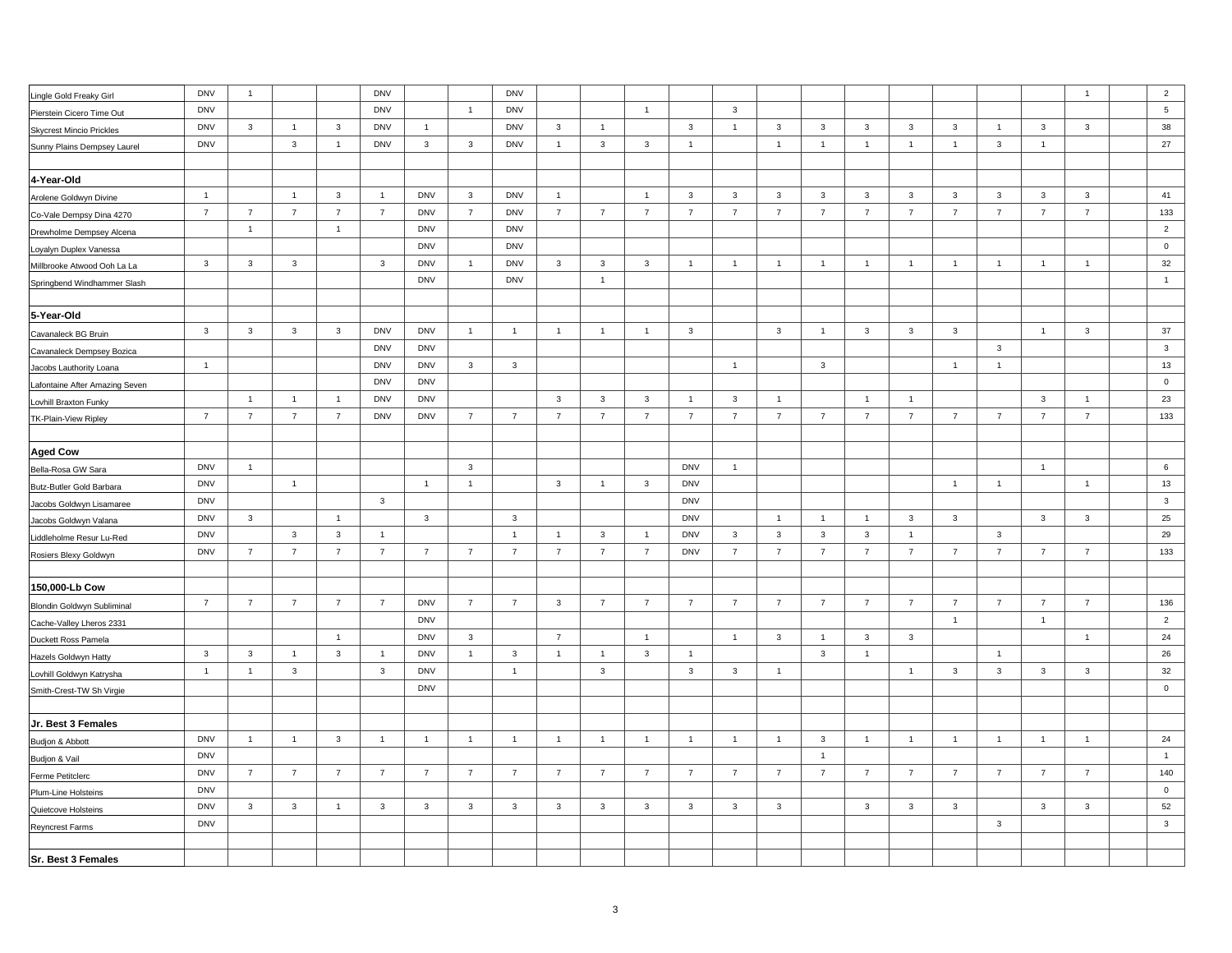|                                                  | <b>DNV</b>     | $\mathbf{1}$   |                         |                | <b>DNV</b>     |                |                | <b>DNV</b>     |                |                |                |                |                |                |                |                |                |                |                |                | $\mathbf{1}$   | $\overline{2}$ |
|--------------------------------------------------|----------------|----------------|-------------------------|----------------|----------------|----------------|----------------|----------------|----------------|----------------|----------------|----------------|----------------|----------------|----------------|----------------|----------------|----------------|----------------|----------------|----------------|----------------|
| Lingle Gold Freaky Girl                          | <b>DNV</b>     |                |                         |                | <b>DNV</b>     |                | $\overline{1}$ | <b>DNV</b>     |                |                | $\overline{1}$ |                | 3              |                |                |                |                |                |                |                |                | $\sqrt{5}$     |
| Pierstein Cicero Time Out                        | <b>DNV</b>     | 3              | $\overline{1}$          | 3              | <b>DNV</b>     | $\overline{1}$ |                | <b>DNV</b>     | $\mathbf{3}$   | $\mathbf{1}$   |                | $\mathbf{3}$   | $\mathbf{1}$   | $\mathbf{3}$   | $\mathbf{3}$   | 3              | $\mathbf{3}$   | 3              | $\overline{1}$ | $\mathbf{3}$   | $\mathbf{3}$   | 38             |
| <b>Skycrest Mincio Prickles</b>                  | <b>DNV</b>     |                | $\mathbf{3}$            | $\mathbf{1}$   | <b>DNV</b>     | $\mathbf{3}$   | $\mathbf{3}$   | <b>DNV</b>     | $\overline{1}$ | $\mathbf{3}$   | $\mathbf{3}$   | $\overline{1}$ |                | $\overline{1}$ | $\mathbf{1}$   | $\mathbf{1}$   | $\overline{1}$ | $\overline{1}$ | $\mathbf{3}$   | $\overline{1}$ |                | 27             |
| Sunny Plains Dempsey Laurel                      |                |                |                         |                |                |                |                |                |                |                |                |                |                |                |                |                |                |                |                |                |                |                |
| 4-Year-Old                                       |                |                |                         |                |                |                |                |                |                |                |                |                |                |                |                |                |                |                |                |                |                |                |
|                                                  | $\overline{1}$ |                | $\overline{1}$          | $\mathbf{3}$   | $\overline{1}$ | <b>DNV</b>     | $\mathbf{3}$   | <b>DNV</b>     | $\overline{1}$ |                | $\mathbf{1}$   | $\mathbf{3}$   | 3              | $\mathbf{3}$   | $\mathbf{3}$   | $\mathbf{3}$   | $\mathbf{3}$   | $\mathbf{3}$   | $\mathbf{3}$   | $\mathbf{3}$   | $\mathbf{3}$   | 41             |
| Arolene Goldwyn Divine                           | $\overline{7}$ | $\overline{7}$ | $\overline{7}$          | $\overline{7}$ | $\overline{7}$ | <b>DNV</b>     | $\overline{7}$ | <b>DNV</b>     | $\overline{7}$ | $\overline{7}$ | $\overline{7}$ | $\overline{7}$ | $\overline{7}$ | $\overline{7}$ | $\overline{7}$ | $\overline{7}$ | $\overline{7}$ | $\overline{7}$ | $\overline{7}$ | $\overline{7}$ | $\overline{7}$ | 133            |
| Co-Vale Dempsy Dina 4270                         |                | $\overline{1}$ |                         | $\mathbf{1}$   |                | <b>DNV</b>     |                | <b>DNV</b>     |                |                |                |                |                |                |                |                |                |                |                |                |                | $\overline{2}$ |
| Drewholme Dempsey Alcena                         |                |                |                         |                |                | <b>DNV</b>     |                | <b>DNV</b>     |                |                |                |                |                |                |                |                |                |                |                |                |                | $\pmb{0}$      |
| Loyalyn Duplex Vanessa                           | $\mathbf{3}$   | $\mathbf{3}$   | $\mathbf{3}$            |                | 3              | <b>DNV</b>     | $\mathbf{1}$   | <b>DNV</b>     | $\mathbf{3}$   | $\mathbf{3}$   | $\mathbf{3}$   | $\overline{1}$ | $\mathbf{1}$   | $\overline{1}$ | $\mathbf{1}$   | $\overline{1}$ | $\overline{1}$ | $\overline{1}$ | $\overline{1}$ | $\overline{1}$ | $\mathbf{1}$   | 32             |
| Millbrooke Atwood Ooh La La                      |                |                |                         |                |                | <b>DNV</b>     |                | <b>DNV</b>     |                | $\overline{1}$ |                |                |                |                |                |                |                |                |                |                |                | $\overline{1}$ |
| Springbend Windhammer Slash                      |                |                |                         |                |                |                |                |                |                |                |                |                |                |                |                |                |                |                |                |                |                |                |
| 5-Year-Old                                       |                |                |                         |                |                |                |                |                |                |                |                |                |                |                |                |                |                |                |                |                |                |                |
|                                                  | $\mathbf{3}$   | $\mathbf{3}$   | $\mathbf{3}$            | $\mathbf{3}$   | <b>DNV</b>     | <b>DNV</b>     | $\overline{1}$ | $\overline{1}$ | $\overline{1}$ | $\overline{1}$ | $\mathbf{1}$   | $\mathbf{3}$   |                | $\mathbf{3}$   | $\overline{1}$ | $\mathbf{3}$   | $\mathbf{3}$   | $\mathbf{3}$   |                | $\overline{1}$ | $\mathbf{3}$   | 37             |
| Cavanaleck BG Bruin<br>Cavanaleck Dempsey Bozica |                |                |                         |                | <b>DNV</b>     | <b>DNV</b>     |                |                |                |                |                |                |                |                |                |                |                |                | $\mathbf{3}$   |                |                | $\mathbf{3}$   |
|                                                  | $\overline{1}$ |                |                         |                | <b>DNV</b>     | <b>DNV</b>     | $\mathbf{3}$   | $\mathbf{3}$   |                |                |                |                | $\overline{1}$ |                | $\mathbf{3}$   |                |                | $\overline{1}$ | $\overline{1}$ |                |                | 13             |
| Jacobs Lauthority Loana                          |                |                |                         |                | <b>DNV</b>     | <b>DNV</b>     |                |                |                |                |                |                |                |                |                |                |                |                |                |                |                | $\mathbf 0$    |
| Lafontaine After Amazing Seven                   |                | $\overline{1}$ | $\overline{1}$          | $\mathbf{1}$   | <b>DNV</b>     | <b>DNV</b>     |                |                | $\mathbf{3}$   | $\mathbf{3}$   | 3              | $\overline{1}$ | 3              | $\overline{1}$ |                | $\overline{1}$ | $\overline{1}$ |                |                | $\mathbf{3}$   | $\overline{1}$ | 23             |
| Lovhill Braxton Funky                            | $\overline{7}$ | $\overline{7}$ | $\overline{7}$          | $\overline{7}$ | <b>DNV</b>     | <b>DNV</b>     | $\overline{7}$ | $\overline{7}$ | $\overline{7}$ | $\overline{7}$ | $\overline{7}$ | $\overline{7}$ | $\overline{7}$ | $\overline{7}$ | $\overline{7}$ | $\overline{7}$ | $\overline{7}$ | $\overline{7}$ | $\overline{7}$ | $\overline{7}$ | $\overline{7}$ | 133            |
| TK-Plain-View Ripley                             |                |                |                         |                |                |                |                |                |                |                |                |                |                |                |                |                |                |                |                |                |                |                |
| <b>Aged Cow</b>                                  |                |                |                         |                |                |                |                |                |                |                |                |                |                |                |                |                |                |                |                |                |                |                |
| Bella-Rosa GW Sara                               | <b>DNV</b>     | $\mathbf{1}$   |                         |                |                |                | $\mathbf{3}$   |                |                |                |                | <b>DNV</b>     | $\mathbf{1}$   |                |                |                |                |                |                | $\overline{1}$ |                | 6              |
| Butz-Butler Gold Barbara                         | <b>DNV</b>     |                | $\overline{1}$          |                |                | $\overline{1}$ | $\overline{1}$ |                | $\mathbf{3}$   | $\overline{1}$ | $\mathbf{3}$   | <b>DNV</b>     |                |                |                |                |                | $\overline{1}$ | $\mathbf{1}$   |                | $\mathbf{1}$   | 13             |
| Jacobs Goldwyn Lisamaree                         | <b>DNV</b>     |                |                         |                | $\overline{3}$ |                |                |                |                |                |                | <b>DNV</b>     |                |                |                |                |                |                |                |                |                | $\mathbf{3}$   |
| Jacobs Goldwyn Valana                            | <b>DNV</b>     | $\mathbf{3}$   |                         | $\overline{1}$ |                | $\mathbf{3}$   |                | $\mathbf{3}$   |                |                |                | <b>DNV</b>     |                | $\overline{1}$ | $\overline{1}$ | $\mathbf{1}$   | $\mathbf{3}$   | $\mathbf{3}$   |                | $\mathbf{3}$   | $\mathbf{3}$   | 25             |
| Liddleholme Resur Lu-Red                         | <b>DNV</b>     |                | $\mathbf{3}$            | $\mathbf{3}$   | $\overline{1}$ |                |                | $\overline{1}$ | $\overline{1}$ | $\mathbf{3}$   | $\overline{1}$ | <b>DNV</b>     | $\mathbf{3}$   | $\mathbf{3}$   | $\mathbf{3}$   | $\mathbf{3}$   | $\overline{1}$ |                | $\overline{3}$ |                |                | 29             |
| Rosiers Blexy Goldwyn                            | <b>DNV</b>     | $\overline{7}$ | $\overline{7}$          | $\overline{7}$ | $\overline{7}$ | $\overline{7}$ | $\overline{7}$ | $\overline{7}$ | $\overline{7}$ | $\overline{7}$ | $\overline{7}$ | <b>DNV</b>     | $\overline{7}$ | $\overline{7}$ | $\overline{7}$ | $\overline{7}$ | $\overline{7}$ | $\overline{7}$ | $\overline{7}$ | $\overline{7}$ | $\overline{7}$ | 133            |
|                                                  |                |                |                         |                |                |                |                |                |                |                |                |                |                |                |                |                |                |                |                |                |                |                |
| 150,000-Lb Cow                                   |                |                |                         |                |                |                |                |                |                |                |                |                |                |                |                |                |                |                |                |                |                |                |
| Blondin Goldwyn Subliminal                       | $\overline{7}$ | $\overline{7}$ | $\overline{7}$          | $\overline{7}$ | $\overline{7}$ | <b>DNV</b>     | $\overline{7}$ | $\overline{7}$ | $\mathbf{3}$   | $\overline{7}$ | $\overline{7}$ | $\overline{7}$ | $\overline{7}$ | $\overline{7}$ | $\overline{7}$ | $\overline{7}$ | $\overline{7}$ | $\overline{7}$ | $\overline{7}$ | $\overline{7}$ | $\overline{7}$ | 136            |
| Cache-Valley Lheros 2331                         |                |                |                         |                |                | <b>DNV</b>     |                |                |                |                |                |                |                |                |                |                |                | $\overline{1}$ |                | $\overline{1}$ |                | $\overline{2}$ |
| Duckett Ross Pamela                              |                |                |                         | $\mathbf{1}$   |                | <b>DNV</b>     | 3              |                | $\overline{7}$ |                | $\mathbf{1}$   |                | $\overline{1}$ | $\mathbf{3}$   | $\mathbf{1}$   | 3              | $\mathbf{3}$   |                |                |                | $\mathbf{1}$   | 24             |
| Hazels Goldwyn Hatty                             | $\mathbf{3}$   | $\mathbf{3}$   | $\overline{1}$          | $\mathbf{3}$   | $\overline{1}$ | <b>DNV</b>     | $\overline{1}$ | $\mathbf{3}$   | $\overline{1}$ | $\overline{1}$ | $\mathbf{3}$   | $\overline{1}$ |                |                | $\mathbf{3}$   | $\overline{1}$ |                |                | $\overline{1}$ |                |                | 26             |
| Lovhill Goldwyn Katrysha                         | $\overline{1}$ | $\mathbf{1}$   | $\mathbf{3}$            |                | $\mathbf{3}$   | <b>DNV</b>     |                | $\overline{1}$ |                | $\mathbf{3}$   |                | $\mathbf{3}$   | 3              | $\overline{1}$ |                |                | $\mathbf{1}$   | $\mathbf{3}$   | $\mathbf{3}$   | $\mathbf{3}$   | $\mathbf{3}$   | 32             |
| Smith-Crest-TW Sh Virgie                         |                |                |                         |                |                | <b>DNV</b>     |                |                |                |                |                |                |                |                |                |                |                |                |                |                |                | $\pmb{0}$      |
|                                                  |                |                |                         |                |                |                |                |                |                |                |                |                |                |                |                |                |                |                |                |                |                |                |
| Jr. Best 3 Females                               |                |                |                         |                |                |                |                |                |                |                |                |                |                |                |                |                |                |                |                |                |                |                |
| Budjon & Abbott                                  | <b>DNV</b>     | $\mathbf{1}$   | $\overline{1}$          | $\mathbf{3}$   | $\overline{1}$ | $\overline{1}$ | $\overline{1}$ | $\overline{1}$ | $\overline{1}$ | $\overline{1}$ | $\overline{1}$ | $\overline{1}$ | $\overline{1}$ | $\overline{1}$ | $\mathbf{3}$   | $\mathbf{1}$   | $\overline{1}$ | $\overline{1}$ | $\overline{1}$ | $\overline{1}$ | $\overline{1}$ | 24             |
| Budjon & Vail                                    | <b>DNV</b>     |                |                         |                |                |                |                |                |                |                |                |                |                |                | $\mathbf{1}$   |                |                |                |                |                |                | $\overline{1}$ |
| Ferme Petitclerc                                 | <b>DNV</b>     | $\overline{7}$ | $\overline{7}$          | $\overline{7}$ | $\overline{7}$ | $\overline{7}$ | $\overline{7}$ | $\overline{7}$ | $\overline{7}$ | $\overline{7}$ | $\overline{7}$ | $\overline{7}$ | $\overline{7}$ | $\overline{7}$ | $\overline{7}$ | $\overline{7}$ | $\overline{7}$ | $\overline{7}$ | $\overline{7}$ | $\overline{7}$ | $\overline{7}$ | 140            |
| Plum-Line Holsteins                              | <b>DNV</b>     |                |                         |                |                |                |                |                |                |                |                |                |                |                |                |                |                |                |                |                |                | $\mathbf 0$    |
| Quietcove Holsteins                              | <b>DNV</b>     | $\mathbf{3}$   | $\overline{\mathbf{3}}$ | $\mathbf{1}$   | 3              | $\mathbf{3}$   | 3              | $\mathbf{3}$   | $\mathbf{3}$   | $\mathbf{3}$   | $\mathbf{3}$   | $\mathbf{3}$   | $\mathbf{3}$   | $\mathbf{3}$   |                | 3              | $\mathbf{3}$   | 3              |                | $\mathbf{3}$   | $\mathbf{3}$   | 52             |
| Reyncrest Farms                                  | <b>DNV</b>     |                |                         |                |                |                |                |                |                |                |                |                |                |                |                |                |                |                | $\mathbf{3}$   |                |                | $\mathbf{3}$   |
|                                                  |                |                |                         |                |                |                |                |                |                |                |                |                |                |                |                |                |                |                |                |                |                |                |
| Sr. Best 3 Females                               |                |                |                         |                |                |                |                |                |                |                |                |                |                |                |                |                |                |                |                |                |                |                |